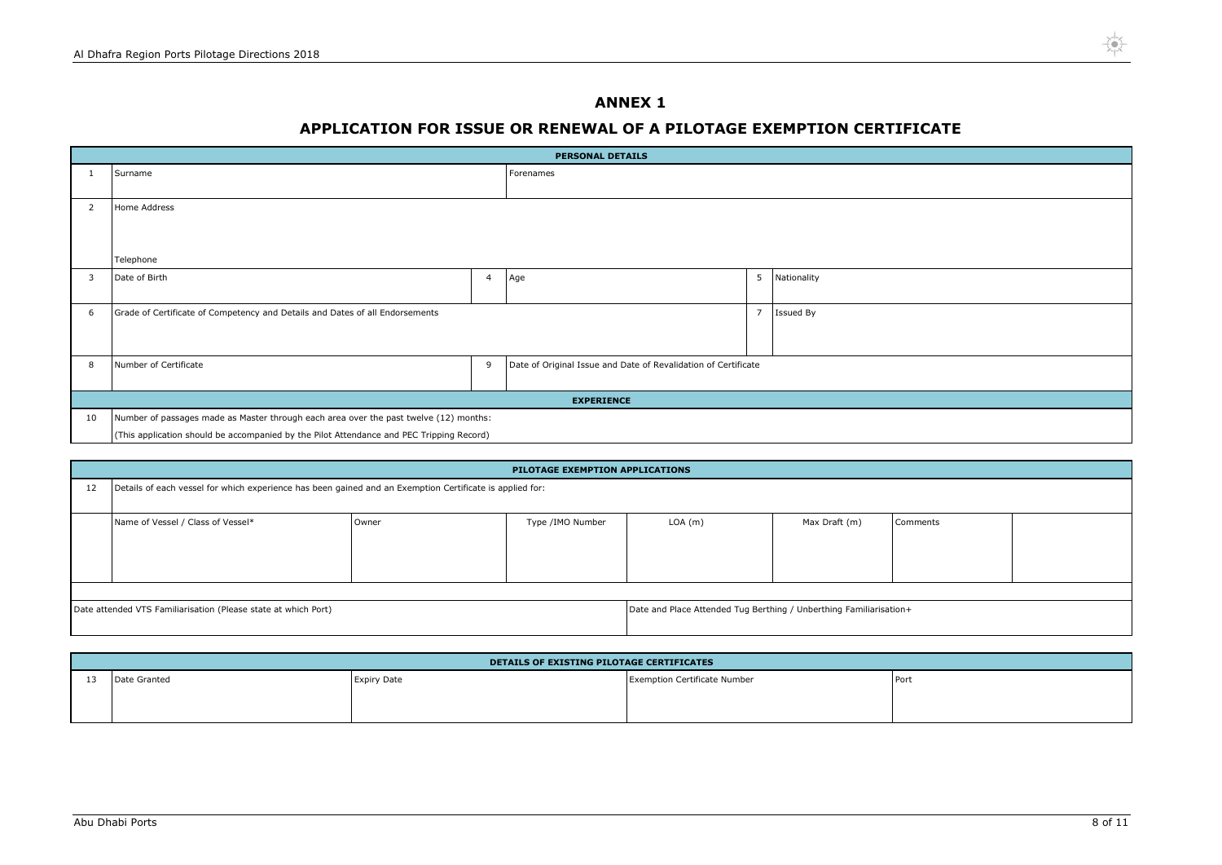| ents |  |
|------|--|
|      |  |
|      |  |
|      |  |
|      |  |
|      |  |
|      |  |
|      |  |

## **ANNEX 1**

# **APPLICATION FOR ISSUE OR RENEWAL OF A PILOTAGE EXEMPTION CERTIFICATE**

| <b>PERSONAL DETAILS</b> |                                                                                          |                |                                                                |                |             |
|-------------------------|------------------------------------------------------------------------------------------|----------------|----------------------------------------------------------------|----------------|-------------|
| 1                       | Surname                                                                                  |                | Forenames                                                      |                |             |
|                         |                                                                                          |                |                                                                |                |             |
| $\overline{2}$          | Home Address                                                                             |                |                                                                |                |             |
|                         |                                                                                          |                |                                                                |                |             |
|                         |                                                                                          |                |                                                                |                |             |
|                         | Telephone                                                                                |                |                                                                |                |             |
| 3                       | Date of Birth                                                                            | $\overline{4}$ | Age                                                            | 5              | Nationality |
|                         |                                                                                          |                |                                                                |                |             |
| 6                       | Grade of Certificate of Competency and Details and Dates of all Endorsements             |                |                                                                | $\overline{7}$ | Issued By   |
|                         |                                                                                          |                |                                                                |                |             |
|                         |                                                                                          |                |                                                                |                |             |
| 8                       | Number of Certificate                                                                    | 9              | Date of Original Issue and Date of Revalidation of Certificate |                |             |
|                         |                                                                                          |                |                                                                |                |             |
| <b>EXPERIENCE</b>       |                                                                                          |                |                                                                |                |             |
| 10                      | Number of passages made as Master through each area over the past twelve (12) months:    |                |                                                                |                |             |
|                         | (This application should be accompanied by the Pilot Attendance and PEC Tripping Record) |                |                                                                |                |             |

|    | PILOTAGE EXEMPTION APPLICATIONS                                                                          |       |                  |         |                                                                    |          |
|----|----------------------------------------------------------------------------------------------------------|-------|------------------|---------|--------------------------------------------------------------------|----------|
| 12 | Details of each vessel for which experience has been gained and an Exemption Certificate is applied for: |       |                  |         |                                                                    |          |
|    | Name of Vessel / Class of Vessel*                                                                        | Owner | Type /IMO Number | LOA (m) | Max Draft (m)                                                      | Comments |
|    | Date attended VTS Familiarisation (Please state at which Port)                                           |       |                  |         | Date and Place Attended Tug Berthing / Unberthing Familiarisation+ |          |

| DETAILS OF EXISTING PILOTAGE CERTIFICATES |                    |                                     |      |
|-------------------------------------------|--------------------|-------------------------------------|------|
| Date Granted                              | <b>Expiry Date</b> | <b>Exemption Certificate Number</b> | Port |
|                                           |                    |                                     |      |
|                                           |                    |                                     |      |